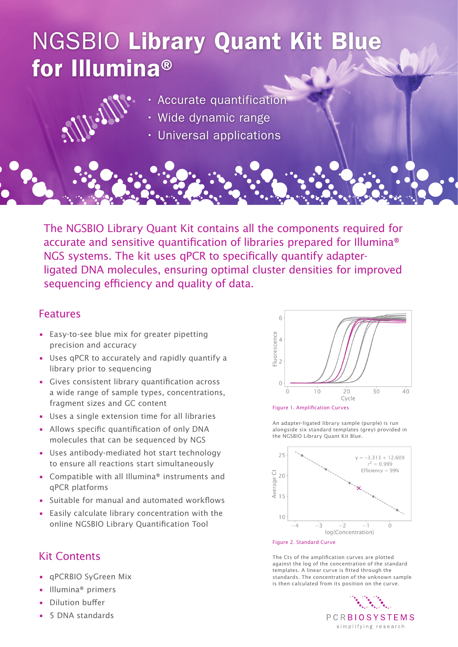# NGSBIO Library Quant Kit Blue for Illumina®



- Wide dynamic range
- Universal applications

The NGSBIO Library Quant Kit contains all the components required for accurate and sensitive quantification of libraries prepared for Illumina® NGS systems. The kit uses qPCR to specifically quantify adapterligated DNA molecules, ensuring optimal cluster densities for improved sequencing efficiency and quality of data.

#### Features

- Easy-to-see blue mix for greater pipetting precision and accuracy
- Uses qPCR to accurately and rapidly quantify a library prior to sequencing
- Gives consistent library quantification across a wide range of sample types, concentrations, fragment sizes and GC content
- Uses a single extension time for all libraries
- Allows specific quantification of only DNA molecules that can be sequenced by NGS
- Uses antibody-mediated hot start technology to ensure all reactions start simultaneously
- Compatible with all Illumina® instruments and qPCR platforms
- Suitable for manual and automated workflows
- Easily calculate library concentration with the online NGSBIO Library Quantification Tool

## Kit Contents

- qPCRBIO SyGreen Mix
- Illumina® primers
- Dilution buffer
- 5 DNA standards





An adapter-ligated library sample (purple) is run alongside six standard templates (grey) provided in the NGSBIO Library Quant Kit Blue.



Figure 2. Standard Curve

The Cts of the amplification curves are plotted against the log of the concentration of the standard templates. A linear curve is fitted through the standards. The concentration of the unknown sample is then calculated from its position on the curve.